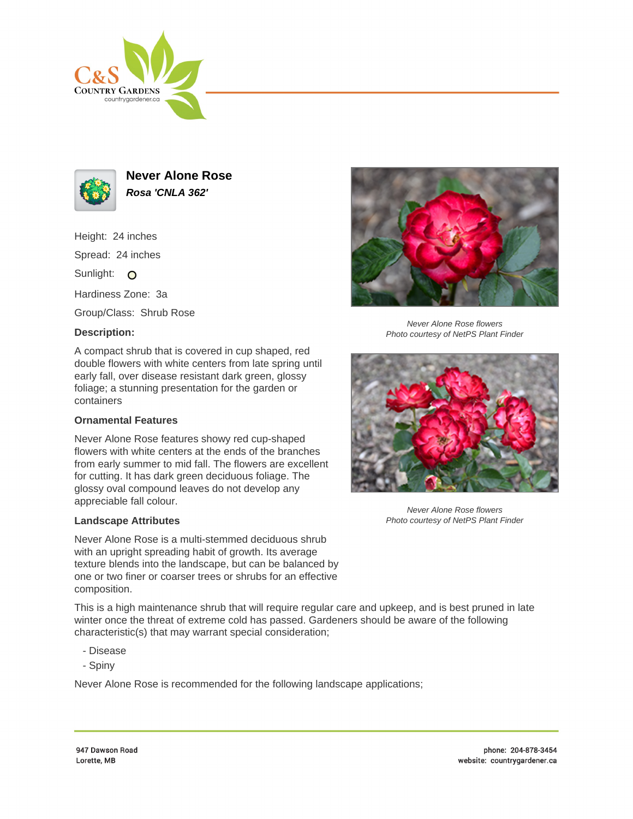



**Never Alone Rose Rosa 'CNLA 362'**

Height: 24 inches

Spread: 24 inches

Sunlight: O

Hardiness Zone: 3a

Group/Class: Shrub Rose

## **Description:**

A compact shrub that is covered in cup shaped, red double flowers with white centers from late spring until early fall, over disease resistant dark green, glossy foliage; a stunning presentation for the garden or containers

## **Ornamental Features**

Never Alone Rose features showy red cup-shaped flowers with white centers at the ends of the branches from early summer to mid fall. The flowers are excellent for cutting. It has dark green deciduous foliage. The glossy oval compound leaves do not develop any appreciable fall colour.

## **Landscape Attributes**

Never Alone Rose is a multi-stemmed deciduous shrub with an upright spreading habit of growth. Its average texture blends into the landscape, but can be balanced by one or two finer or coarser trees or shrubs for an effective composition.

This is a high maintenance shrub that will require regular care and upkeep, and is best pruned in late winter once the threat of extreme cold has passed. Gardeners should be aware of the following characteristic(s) that may warrant special consideration;

- Disease
- Spiny

Never Alone Rose is recommended for the following landscape applications;



Never Alone Rose flowers Photo courtesy of NetPS Plant Finder



Never Alone Rose flowers Photo courtesy of NetPS Plant Finder